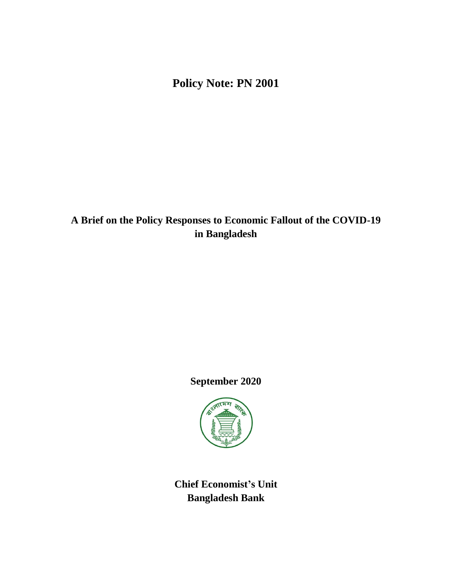**Policy Note: PN 2001**

**A Brief on the Policy Responses to Economic Fallout of the COVID-19 in Bangladesh**

**September 2020**



**Chief Economist's Unit Bangladesh Bank**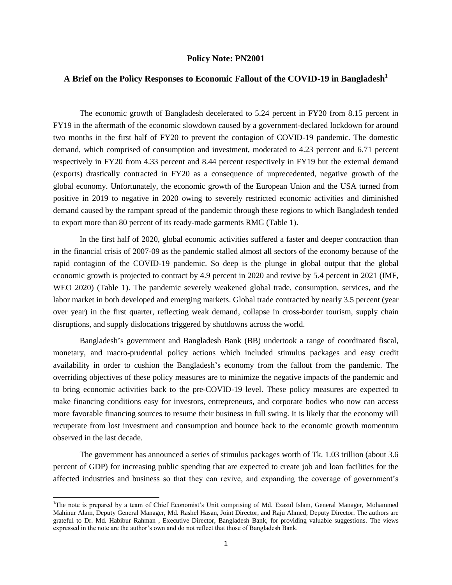## **Policy Note: PN2001**

## **A Brief on the Policy Responses to Economic Fallout of the COVID-19 in Bangladesh<sup>1</sup>**

The economic growth of Bangladesh decelerated to 5.24 percent in FY20 from 8.15 percent in FY19 in the aftermath of the economic slowdown caused by a government-declared lockdown for around two months in the first half of FY20 to prevent the contagion of COVID-19 pandemic. The domestic demand, which comprised of consumption and investment, moderated to 4.23 percent and 6.71 percent respectively in FY20 from 4.33 percent and 8.44 percent respectively in FY19 but the external demand (exports) drastically contracted in FY20 as a consequence of unprecedented, negative growth of the global economy. Unfortunately, the economic growth of the European Union and the USA turned from positive in 2019 to negative in 2020 owing to severely restricted economic activities and diminished demand caused by the rampant spread of the pandemic through these regions to which Bangladesh tended to export more than 80 percent of its ready-made garments RMG (Table 1).

In the first half of 2020, global economic activities suffered a faster and deeper contraction than in the financial crisis of 2007-09 as the pandemic stalled almost all sectors of the economy because of the rapid contagion of the COVID-19 pandemic. So deep is the plunge in global output that the global economic growth is projected to contract by 4.9 percent in 2020 and revive by 5.4 percent in 2021 (IMF, WEO 2020) (Table 1). The pandemic severely weakened global trade, consumption, services, and the labor market in both developed and emerging markets. Global trade contracted by nearly 3.5 percent (year over year) in the first quarter, reflecting weak demand, collapse in cross-border tourism, supply chain disruptions, and supply dislocations triggered by shutdowns across the world.

Bangladesh's government and Bangladesh Bank (BB) undertook a range of coordinated fiscal, monetary, and macro-prudential policy actions which included stimulus packages and easy credit availability in order to cushion the Bangladesh's economy from the fallout from the pandemic. The overriding objectives of these policy measures are to minimize the negative impacts of the pandemic and to bring economic activities back to the pre-COVID-19 level. These policy measures are expected to make financing conditions easy for investors, entrepreneurs, and corporate bodies who now can access more favorable financing sources to resume their business in full swing. It is likely that the economy will recuperate from lost investment and consumption and bounce back to the economic growth momentum observed in the last decade.

The government has announced a series of stimulus packages worth of Tk. 1.03 trillion (about 3.6 percent of GDP) for increasing public spending that are expected to create job and loan facilities for the affected industries and business so that they can revive, and expanding the coverage of government's

 $\overline{\phantom{a}}$ 

<sup>&</sup>lt;sup>1</sup>The note is prepared by a team of Chief Economist's Unit comprising of Md. Ezazul Islam, General Manager, Mohammed Mahinur Alam, Deputy General Manager, Md. Rashel Hasan, Joint Director, and Raju Ahmed, Deputy Director. The authors are grateful to Dr. Md. Habibur Rahman , Executive Director, Bangladesh Bank, for providing valuable suggestions. The views expressed in the note are the author's own and do not reflect that those of Bangladesh Bank.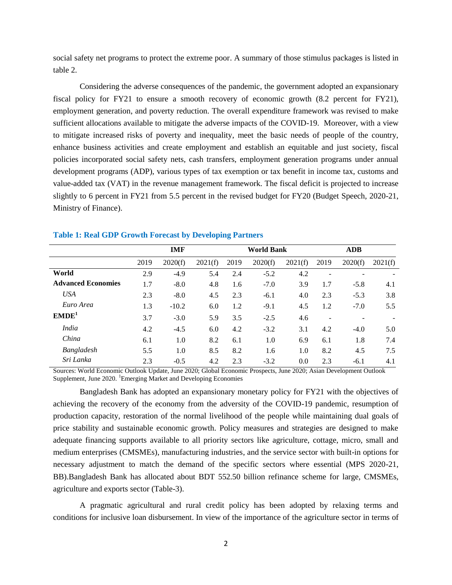social safety net programs to protect the extreme poor. A summary of those stimulus packages is listed in table 2.

Considering the adverse consequences of the pandemic, the government adopted an expansionary fiscal policy for FY21 to ensure a smooth recovery of economic growth (8.2 percent for FY21), employment generation, and poverty reduction. The overall expenditure framework was revised to make sufficient allocations available to mitigate the adverse impacts of the COVID-19. Moreover, with a view to mitigate increased risks of poverty and inequality, meet the basic needs of people of the country, enhance business activities and create employment and establish an equitable and just society, fiscal policies incorporated social safety nets, cash transfers, employment generation programs under annual development programs (ADP), various types of tax exemption or tax benefit in income tax, customs and value-added tax (VAT) in the revenue management framework. The fiscal deficit is projected to increase slightly to 6 percent in FY21 from 5.5 percent in the revised budget for FY20 (Budget Speech, 2020-21, Ministry of Finance).

|                           |      | <b>IMF</b> |         |      | <b>World Bank</b> |         |      | <b>ADB</b> |         |
|---------------------------|------|------------|---------|------|-------------------|---------|------|------------|---------|
|                           | 2019 | 2020(f)    | 2021(f) | 2019 | 2020(f)           | 2021(f) | 2019 | 2020(f)    | 2021(f) |
| World                     | 2.9  | $-4.9$     | 5.4     | 2.4  | $-5.2$            | 4.2     |      |            |         |
| <b>Advanced Economies</b> | 1.7  | $-8.0$     | 4.8     | 1.6  | $-7.0$            | 3.9     | 1.7  | $-5.8$     | 4.1     |
| <b>USA</b>                | 2.3  | $-8.0$     | 4.5     | 2.3  | $-6.1$            | 4.0     | 2.3  | $-5.3$     | 3.8     |
| Euro Area                 | 1.3  | $-10.2$    | 6.0     | 1.2  | $-9.1$            | 4.5     | 1.2  | $-7.0$     | 5.5     |
| EMDE <sup>1</sup>         | 3.7  | $-3.0$     | 5.9     | 3.5  | $-2.5$            | 4.6     | ۰    |            |         |
| <i>India</i>              | 4.2  | $-4.5$     | 6.0     | 4.2  | $-3.2$            | 3.1     | 4.2  | $-4.0$     | 5.0     |
| China                     | 6.1  | 1.0        | 8.2     | 6.1  | 1.0               | 6.9     | 6.1  | 1.8        | 7.4     |
| Bangladesh                | 5.5  | 1.0        | 8.5     | 8.2  | 1.6               | 1.0     | 8.2  | 4.5        | 7.5     |
| Sri Lanka                 | 2.3  | $-0.5$     | 4.2     | 2.3  | $-3.2$            | 0.0     | 2.3  | $-6.1$     | 4.1     |

## **Table 1: Real GDP Growth Forecast by Developing Partners**

Sources: World Economic Outlook Update, June 2020; Global Economic Prospects, June 2020; Asian Development Outlook Supplement, June 2020. <sup>1</sup>Emerging Market and Developing Economies

Bangladesh Bank has adopted an expansionary monetary policy for FY21 with the objectives of achieving the recovery of the economy from the adversity of the COVID-19 pandemic, resumption of production capacity, restoration of the normal livelihood of the people while maintaining dual goals of price stability and sustainable economic growth. Policy measures and strategies are designed to make adequate financing supports available to all priority sectors like agriculture, cottage, micro, small and medium enterprises (CMSMEs), manufacturing industries, and the service sector with built-in options for necessary adjustment to match the demand of the specific sectors where essential (MPS 2020-21, BB).Bangladesh Bank has allocated about BDT 552.50 billion refinance scheme for large, CMSMEs, agriculture and exports sector (Table-3).

A pragmatic agricultural and rural credit policy has been adopted by relaxing terms and conditions for inclusive loan disbursement. In view of the importance of the agriculture sector in terms of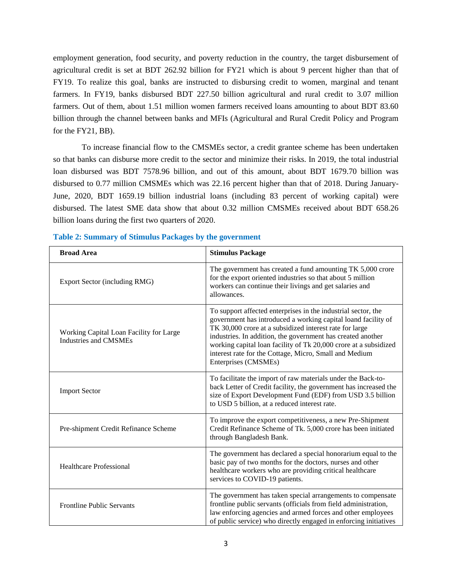employment generation, food security, and poverty reduction in the country, the target disbursement of agricultural credit is set at BDT 262.92 billion for FY21 which is about 9 percent higher than that of FY19. To realize this goal, banks are instructed to disbursing credit to women, marginal and tenant farmers. In FY19, banks disbursed BDT 227.50 billion agricultural and rural credit to 3.07 million farmers. Out of them, about 1.51 million women farmers received loans amounting to about BDT 83.60 billion through the channel between banks and MFIs (Agricultural and Rural Credit Policy and Program for the FY21, BB).

To increase financial flow to the CMSMEs sector, a credit grantee scheme has been undertaken so that banks can disburse more credit to the sector and minimize their risks. In 2019, the total industrial loan disbursed was BDT 7578.96 billion, and out of this amount, about BDT 1679.70 billion was disbursed to 0.77 million CMSMEs which was 22.16 percent higher than that of 2018. During January-June, 2020, BDT 1659.19 billion industrial loans (including 83 percent of working capital) were disbursed. The latest SME data show that about 0.32 million CMSMEs received about BDT 658.26 billion loans during the first two quarters of 2020.

| <b>Broad Area</b>                                                       | <b>Stimulus Package</b>                                                                                                                                                                                                                                                                                                                                                                                        |
|-------------------------------------------------------------------------|----------------------------------------------------------------------------------------------------------------------------------------------------------------------------------------------------------------------------------------------------------------------------------------------------------------------------------------------------------------------------------------------------------------|
| Export Sector (including RMG)                                           | The government has created a fund amounting TK 5,000 crore<br>for the export oriented industries so that about 5 million<br>workers can continue their livings and get salaries and<br>allowances.                                                                                                                                                                                                             |
| Working Capital Loan Facility for Large<br><b>Industries and CMSMEs</b> | To support affected enterprises in the industrial sector, the<br>government has introduced a working capital loand facility of<br>TK 30,000 crore at a subsidized interest rate for large<br>industries. In addition, the government has created another<br>working capital loan facility of Tk 20,000 crore at a subsidized<br>interest rate for the Cottage, Micro, Small and Medium<br>Enterprises (CMSMEs) |
| <b>Import Sector</b>                                                    | To facilitate the import of raw materials under the Back-to-<br>back Letter of Credit facility, the government has increased the<br>size of Export Development Fund (EDF) from USD 3.5 billion<br>to USD 5 billion, at a reduced interest rate.                                                                                                                                                                |
| Pre-shipment Credit Refinance Scheme                                    | To improve the export competitiveness, a new Pre-Shipment<br>Credit Refinance Scheme of Tk. 5,000 crore has been initiated<br>through Bangladesh Bank.                                                                                                                                                                                                                                                         |
| <b>Healthcare Professional</b>                                          | The government has declared a special honorarium equal to the<br>basic pay of two months for the doctors, nurses and other<br>healthcare workers who are providing critical healthcare<br>services to COVID-19 patients.                                                                                                                                                                                       |
| <b>Frontline Public Servants</b>                                        | The government has taken special arrangements to compensate<br>frontline public servants (officials from field administration,<br>law enforcing agencies and armed forces and other employees<br>of public service) who directly engaged in enforcing initiatives                                                                                                                                              |

**Table 2: Summary of Stimulus Packages by the government**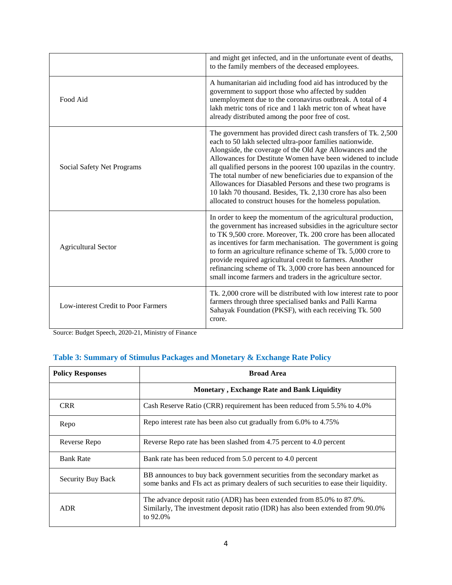|                                     | and might get infected, and in the unfortunate event of deaths,<br>to the family members of the deceased employees.                                                                                                                                                                                                                                                                                                                                                                                                                                                                     |
|-------------------------------------|-----------------------------------------------------------------------------------------------------------------------------------------------------------------------------------------------------------------------------------------------------------------------------------------------------------------------------------------------------------------------------------------------------------------------------------------------------------------------------------------------------------------------------------------------------------------------------------------|
| Food Aid                            | A humanitarian aid including food aid has introduced by the<br>government to support those who affected by sudden<br>unemployment due to the coronavirus outbreak. A total of 4<br>lakh metric tons of rice and 1 lakh metric ton of wheat have<br>already distributed among the poor free of cost.                                                                                                                                                                                                                                                                                     |
| Social Safety Net Programs          | The government has provided direct cash transfers of Tk. 2,500<br>each to 50 lakh selected ultra-poor families nationwide.<br>Alongside, the coverage of the Old Age Allowances and the<br>Allowances for Destitute Women have been widened to include<br>all qualified persons in the poorest 100 upazilas in the country.<br>The total number of new beneficiaries due to expansion of the<br>Allowances for Diasabled Persons and these two programs is<br>10 lakh 70 thousand. Besides, Tk. 2,130 crore has also been<br>allocated to construct houses for the homeless population. |
| <b>Agricultural Sector</b>          | In order to keep the momentum of the agricultural production,<br>the government has increased subsidies in the agriculture sector<br>to TK 9,500 crore. Moreover, Tk. 200 crore has been allocated<br>as incentives for farm mechanisation. The government is going<br>to form an agriculture refinance scheme of Tk. 5,000 crore to<br>provide required agricultural credit to farmers. Another<br>refinancing scheme of Tk. 3,000 crore has been announced for<br>small income farmers and traders in the agriculture sector.                                                         |
| Low-interest Credit to Poor Farmers | Tk. 2,000 crore will be distributed with low interest rate to poor<br>farmers through three specialised banks and Palli Karma<br>Sahayak Foundation (PKSF), with each receiving Tk. 500<br>crore.                                                                                                                                                                                                                                                                                                                                                                                       |

Source: Budget Speech, 2020-21, Ministry of Finance

## **Table 3: Summary of Stimulus Packages and Monetary & Exchange Rate Policy**

| <b>Policy Responses</b> | <b>Broad Area</b>                                                                                                                                                        |  |
|-------------------------|--------------------------------------------------------------------------------------------------------------------------------------------------------------------------|--|
|                         | <b>Monetary, Exchange Rate and Bank Liquidity</b>                                                                                                                        |  |
| <b>CRR</b>              | Cash Reserve Ratio (CRR) requirement has been reduced from 5.5% to 4.0%                                                                                                  |  |
| Repo                    | Repo interest rate has been also cut gradually from 6.0% to 4.75%                                                                                                        |  |
| Reverse Repo            | Reverse Repo rate has been slashed from 4.75 percent to 4.0 percent                                                                                                      |  |
| <b>Bank Rate</b>        | Bank rate has been reduced from 5.0 percent to 4.0 percent                                                                                                               |  |
| Security Buy Back       | BB announces to buy back government securities from the secondary market as<br>some banks and FIs act as primary dealers of such securities to ease their liquidity.     |  |
| <b>ADR</b>              | The advance deposit ratio (ADR) has been extended from 85.0% to 87.0%.<br>Similarly, The investment deposit ratio (IDR) has also been extended from 90.0%<br>to $92.0\%$ |  |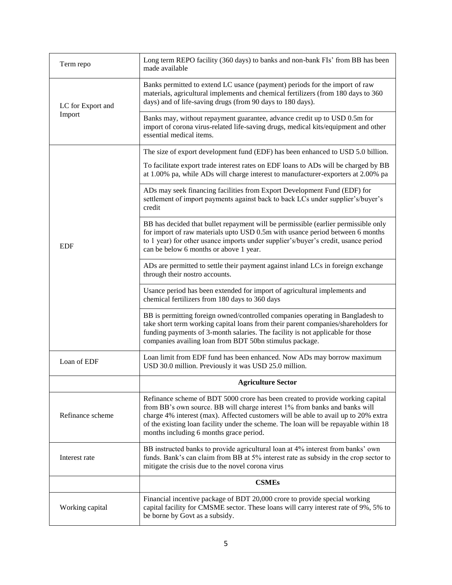| Term repo                   | Long term REPO facility (360 days) to banks and non-bank FIs' from BB has been<br>made available                                                                                                                                                                                                                                                                                      |
|-----------------------------|---------------------------------------------------------------------------------------------------------------------------------------------------------------------------------------------------------------------------------------------------------------------------------------------------------------------------------------------------------------------------------------|
| LC for Export and<br>Import | Banks permitted to extend LC usance (payment) periods for the import of raw<br>materials, agricultural implements and chemical fertilizers (from 180 days to 360<br>days) and of life-saving drugs (from 90 days to 180 days).                                                                                                                                                        |
|                             | Banks may, without repayment guarantee, advance credit up to USD 0.5m for<br>import of corona virus-related life-saving drugs, medical kits/equipment and other<br>essential medical items.                                                                                                                                                                                           |
| <b>EDF</b>                  | The size of export development fund (EDF) has been enhanced to USD 5.0 billion.                                                                                                                                                                                                                                                                                                       |
|                             | To facilitate export trade interest rates on EDF loans to ADs will be charged by BB<br>at 1.00% pa, while ADs will charge interest to manufacturer-exporters at 2.00% pa                                                                                                                                                                                                              |
|                             | ADs may seek financing facilities from Export Development Fund (EDF) for<br>settlement of import payments against back to back LCs under supplier's/buyer's<br>credit                                                                                                                                                                                                                 |
|                             | BB has decided that bullet repayment will be permissible (earlier permissible only<br>for import of raw materials upto USD 0.5m with usance period between 6 months<br>to 1 year) for other usance imports under supplier's/buyer's credit, usance period<br>can be below 6 months or above 1 year.                                                                                   |
|                             | ADs are permitted to settle their payment against inland LCs in foreign exchange<br>through their nostro accounts.                                                                                                                                                                                                                                                                    |
|                             | Usance period has been extended for import of agricultural implements and<br>chemical fertilizers from 180 days to 360 days                                                                                                                                                                                                                                                           |
|                             | BB is permitting foreign owned/controlled companies operating in Bangladesh to<br>take short term working capital loans from their parent companies/shareholders for<br>funding payments of 3-month salaries. The facility is not applicable for those<br>companies availing loan from BDT 50bn stimulus package.                                                                     |
| Loan of EDF                 | Loan limit from EDF fund has been enhanced. Now ADs may borrow maximum<br>USD 30.0 million. Previously it was USD 25.0 million.                                                                                                                                                                                                                                                       |
|                             | <b>Agriculture Sector</b>                                                                                                                                                                                                                                                                                                                                                             |
| Refinance scheme            | Refinance scheme of BDT 5000 crore has been created to provide working capital<br>from BB's own source. BB will charge interest 1% from banks and banks will<br>charge 4% interest (max). Affected customers will be able to avail up to 20% extra<br>of the existing loan facility under the scheme. The loan will be repayable within 18<br>months including 6 months grace period. |
| Interest rate               | BB instructed banks to provide agricultural loan at 4% interest from banks' own<br>funds. Bank's can claim from BB at 5% interest rate as subsidy in the crop sector to<br>mitigate the crisis due to the novel corona virus                                                                                                                                                          |
|                             | <b>CSMEs</b>                                                                                                                                                                                                                                                                                                                                                                          |
| Working capital             | Financial incentive package of BDT 20,000 crore to provide special working<br>capital facility for CMSME sector. These loans will carry interest rate of 9%, 5% to<br>be borne by Govt as a subsidy.                                                                                                                                                                                  |